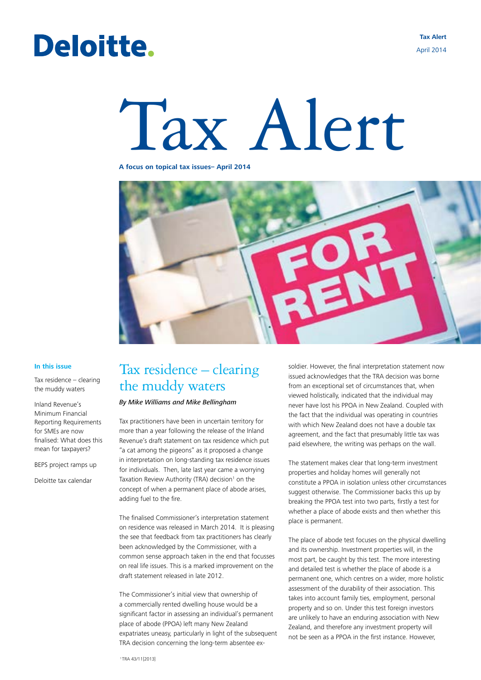# Deloitte.

**Tax Alert** April 2014

# Tax Alert

#### **A focus on topical tax issues– April 2014**



#### **In this issue**

Tax residence – clearing the muddy waters

Inland Revenue's Minimum Financial Reporting Requirements for SMEs are now finalised: What does this mean for taxpayers?

BEPS project ramps up

Deloitte tax calendar

## Tax residence – clearing the muddy waters

#### *By Mike Williams and Mike Bellingham*

Tax practitioners have been in uncertain territory for more than a year following the release of the Inland Revenue's draft statement on tax residence which put "a cat among the pigeons" as it proposed a change in interpretation on long-standing tax residence issues for individuals. Then, late last year came a worrying Taxation Review Authority (TRA) decision<sup>1</sup> on the concept of when a permanent place of abode arises, adding fuel to the fire.

The finalised Commissioner's interpretation statement on residence was released in March 2014. It is pleasing the see that feedback from tax practitioners has clearly been acknowledged by the Commissioner, with a common sense approach taken in the end that focusses on real life issues. This is a marked improvement on the draft statement released in late 2012.

The Commissioner's initial view that ownership of a commercially rented dwelling house would be a significant factor in assessing an individual's permanent place of abode (PPOA) left many New Zealand expatriates uneasy, particularly in light of the subsequent TRA decision concerning the long-term absentee exsoldier. However, the final interpretation statement now issued acknowledges that the TRA decision was borne from an exceptional set of circumstances that, when viewed holistically, indicated that the individual may never have lost his PPOA in New Zealand. Coupled with the fact that the individual was operating in countries with which New Zealand does not have a double tax agreement, and the fact that presumably little tax was paid elsewhere, the writing was perhaps on the wall.

The statement makes clear that long-term investment properties and holiday homes will generally not constitute a PPOA in isolation unless other circumstances suggest otherwise. The Commissioner backs this up by breaking the PPOA test into two parts, firstly a test for whether a place of abode exists and then whether this place is permanent.

The place of abode test focuses on the physical dwelling and its ownership. Investment properties will, in the most part, be caught by this test. The more interesting and detailed test is whether the place of abode is a permanent one, which centres on a wider, more holistic assessment of the durability of their association. This takes into account family ties, employment, personal property and so on. Under this test foreign investors are unlikely to have an enduring association with New Zealand, and therefore any investment property will not be seen as a PPOA in the first instance. However,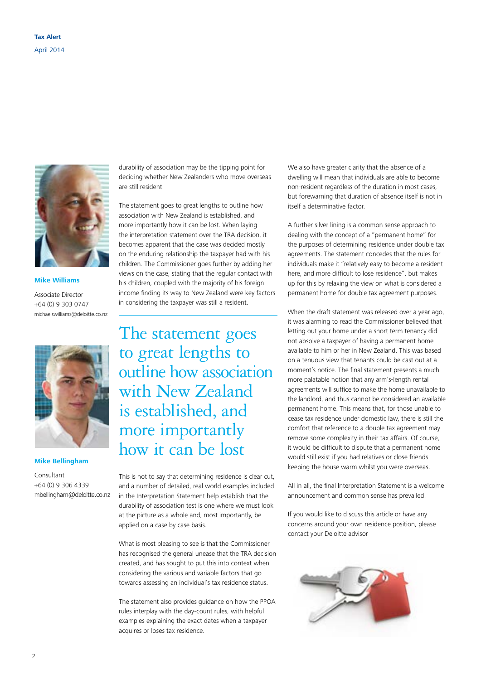

#### **Mike Williams**

Associate Director +64 (0) 9 303 0747 michaelswilliams@deloitte.co.nz



#### **Mike Bellingham**

Consultant +64 (0) 9 306 4339 mbellingham@deloitte.co.nz durability of association may be the tipping point for deciding whether New Zealanders who move overseas are still resident.

The statement goes to great lengths to outline how association with New Zealand is established, and more importantly how it can be lost. When laying the interpretation statement over the TRA decision, it becomes apparent that the case was decided mostly on the enduring relationship the taxpayer had with his children. The Commissioner goes further by adding her views on the case, stating that the regular contact with his children, coupled with the majority of his foreign income finding its way to New Zealand were key factors in considering the taxpayer was still a resident.

The statement goes to great lengths to outline how association with New Zealand is established, and more importantly how it can be lost

This is not to say that determining residence is clear cut, and a number of detailed, real world examples included in the Interpretation Statement help establish that the durability of association test is one where we must look at the picture as a whole and, most importantly, be applied on a case by case basis.

What is most pleasing to see is that the Commissioner has recognised the general unease that the TRA decision created, and has sought to put this into context when considering the various and variable factors that go towards assessing an individual's tax residence status.

The statement also provides guidance on how the PPOA rules interplay with the day-count rules, with helpful examples explaining the exact dates when a taxpayer acquires or loses tax residence.

We also have greater clarity that the absence of a dwelling will mean that individuals are able to become non-resident regardless of the duration in most cases, but forewarning that duration of absence itself is not in itself a determinative factor.

A further silver lining is a common sense approach to dealing with the concept of a "permanent home" for the purposes of determining residence under double tax agreements. The statement concedes that the rules for individuals make it "relatively easy to become a resident here, and more difficult to lose residence", but makes up for this by relaxing the view on what is considered a permanent home for double tax agreement purposes.

When the draft statement was released over a year ago, it was alarming to read the Commissioner believed that letting out your home under a short term tenancy did not absolve a taxpayer of having a permanent home available to him or her in New Zealand. This was based on a tenuous view that tenants could be cast out at a moment's notice. The final statement presents a much more palatable notion that any arm's-length rental agreements will suffice to make the home unavailable to the landlord, and thus cannot be considered an available permanent home. This means that, for those unable to cease tax residence under domestic law, there is still the comfort that reference to a double tax agreement may remove some complexity in their tax affairs. Of course, it would be difficult to dispute that a permanent home would still exist if you had relatives or close friends keeping the house warm whilst you were overseas.

All in all, the final Interpretation Statement is a welcome announcement and common sense has prevailed.

If you would like to discuss this article or have any concerns around your own residence position, please contact your Deloitte advisor

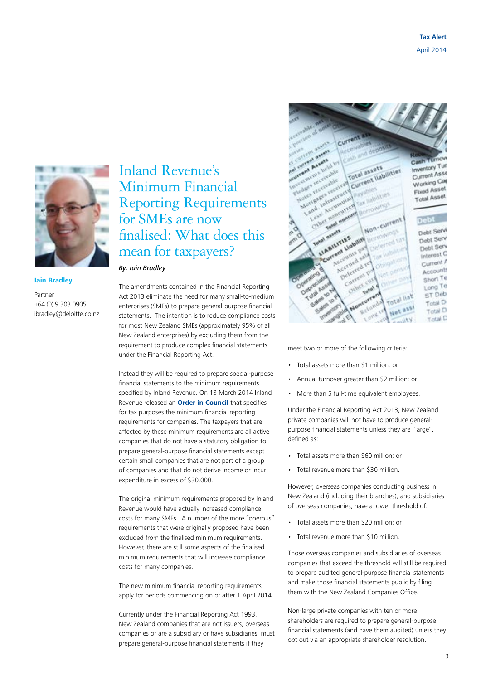

#### **Iain Bradley**

Partner +64 (0) 9 303 0905 ibradley@deloitte.co.nz

Inland Revenue's Minimum Financial Reporting Requirements for SMEs are now finalised: What does this mean for taxpayers?

*By: Iain Bradley*

The amendments contained in the Financial Reporting Act 2013 eliminate the need for many small-to-medium enterprises (SMEs) to prepare general-purpose financial statements. The intention is to reduce compliance costs for most New Zealand SMEs (approximately 95% of all New Zealand enterprises) by excluding them from the requirement to produce complex financial statements under the Financial Reporting Act.

Instead they will be required to prepare special-purpose financial statements to the minimum requirements specified by Inland Revenue. On 13 March 2014 Inland Revenue released an **[Order in Council](http://taxpolicy.ird.govt.nz/sites/default/files/2014-oic-tafso_0.pdf)** that specifies for tax purposes the minimum financial reporting requirements for companies. The taxpayers that are affected by these minimum requirements are all active companies that do not have a statutory obligation to prepare general-purpose financial statements except certain small companies that are not part of a group of companies and that do not derive income or incur expenditure in excess of \$30,000.

The original minimum requirements proposed by Inland Revenue would have actually increased compliance costs for many SMEs. A number of the more "onerous" requirements that were originally proposed have been excluded from the finalised minimum requirements. However, there are still some aspects of the finalised minimum requirements that will increase compliance costs for many companies.

The new minimum financial reporting requirements apply for periods commencing on or after 1 April 2014.

Currently under the Financial Reporting Act 1993, New Zealand companies that are not issuers, overseas companies or are a subsidiary or have subsidiaries, must prepare general-purpose financial statements if they



meet two or more of the following criteria:

- Total assets more than \$1 million; or
- Annual turnover greater than \$2 million; or
- More than 5 full-time equivalent employees.

Under the Financial Reporting Act 2013, New Zealand private companies will not have to produce generalpurpose financial statements unless they are "large", defined as:

- Total assets more than \$60 million; or
- Total revenue more than \$30 million.

However, overseas companies conducting business in New Zealand (including their branches), and subsidiaries of overseas companies, have a lower threshold of:

- Total assets more than \$20 million; or
- Total revenue more than \$10 million.

Those overseas companies and subsidiaries of overseas companies that exceed the threshold will still be required to prepare audited general-purpose financial statements and make those financial statements public by filing them with the New Zealand Companies Office.

Non-large private companies with ten or more shareholders are required to prepare general-purpose financial statements (and have them audited) unless they opt out via an appropriate shareholder resolution.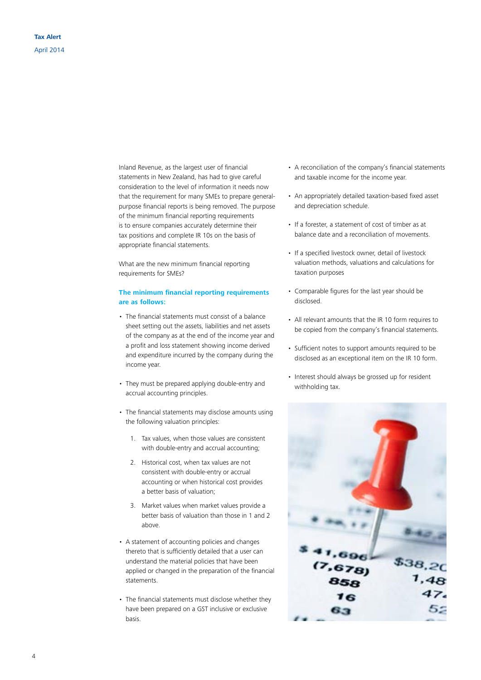Inland Revenue, as the largest user of financial statements in New Zealand, has had to give careful consideration to the level of information it needs now that the requirement for many SMEs to prepare generalpurpose financial reports is being removed. The purpose of the minimum financial reporting requirements is to ensure companies accurately determine their tax positions and complete IR 10s on the basis of appropriate financial statements.

What are the new minimum financial reporting requirements for SMEs?

#### **The minimum financial reporting requirements are as follows:**

- The financial statements must consist of a balance sheet setting out the assets, liabilities and net assets of the company as at the end of the income year and a profit and loss statement showing income derived and expenditure incurred by the company during the income year.
- They must be prepared applying double-entry and accrual accounting principles.
- The financial statements may disclose amounts using the following valuation principles:
	- 1. Tax values, when those values are consistent with double-entry and accrual accounting;
	- 2. Historical cost, when tax values are not consistent with double-entry or accrual accounting or when historical cost provides a better basis of valuation;
	- 3. Market values when market values provide a better basis of valuation than those in 1 and 2 above.
- A statement of accounting policies and changes thereto that is sufficiently detailed that a user can understand the material policies that have been applied or changed in the preparation of the financial statements.
- The financial statements must disclose whether they have been prepared on a GST inclusive or exclusive basis.
- A reconciliation of the company's financial statements and taxable income for the income year.
- An appropriately detailed taxation-based fixed asset and depreciation schedule.
- If a forester, a statement of cost of timber as at balance date and a reconciliation of movements.
- If a specified livestock owner, detail of livestock valuation methods, valuations and calculations for taxation purposes
- Comparable figures for the last year should be disclosed.
- All relevant amounts that the IR 10 form requires to be copied from the company's financial statements.
- Sufficient notes to support amounts required to be disclosed as an exceptional item on the IR 10 form.
- Interest should always be grossed up for resident withholding tax.

 $1.696$  $$^{38,20}_{1,48}$  $(7, 678)$ 16 65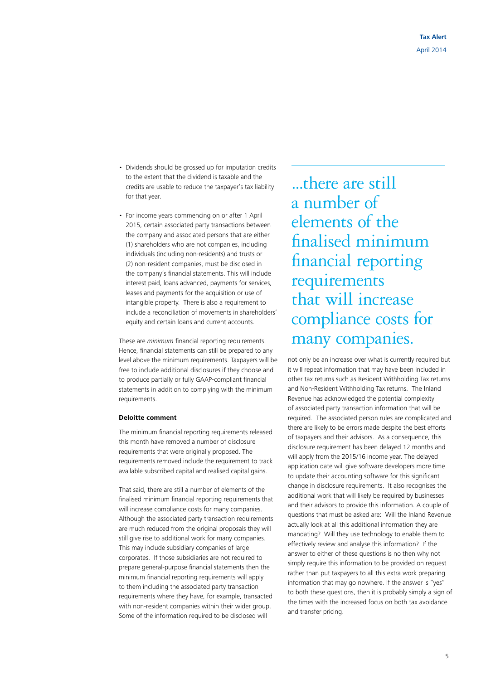- Dividends should be grossed up for imputation credits to the extent that the dividend is taxable and the credits are usable to reduce the taxpayer's tax liability for that year.
- For income years commencing on or after 1 April 2015, certain associated party transactions between the company and associated persons that are either (1) shareholders who are not companies, including individuals (including non-residents) and trusts or (2) non-resident companies, must be disclosed in the company's financial statements. This will include interest paid, loans advanced, payments for services, leases and payments for the acquisition or use of intangible property. There is also a requirement to include a reconciliation of movements in shareholders' equity and certain loans and current accounts.

These are *minimum* financial reporting requirements. Hence, financial statements can still be prepared to any level above the minimum requirements. Taxpayers will be free to include additional disclosures if they choose and to produce partially or fully GAAP-compliant financial statements in addition to complying with the minimum requirements.

#### **Deloitte comment**

The minimum financial reporting requirements released this month have removed a number of disclosure requirements that were originally proposed. The requirements removed include the requirement to track available subscribed capital and realised capital gains.

That said, there are still a number of elements of the finalised minimum financial reporting requirements that will increase compliance costs for many companies. Although the associated party transaction requirements are much reduced from the original proposals they will still give rise to additional work for many companies. This may include subsidiary companies of large corporates. If those subsidiaries are not required to prepare general-purpose financial statements then the minimum financial reporting requirements will apply to them including the associated party transaction requirements where they have, for example, transacted with non-resident companies within their wider group. Some of the information required to be disclosed will

...there are still a number of elements of the finalised minimum financial reporting requirements that will increase compliance costs for many companies.

not only be an increase over what is currently required but it will repeat information that may have been included in other tax returns such as Resident Withholding Tax returns and Non-Resident Withholding Tax returns. The Inland Revenue has acknowledged the potential complexity of associated party transaction information that will be required. The associated person rules are complicated and there are likely to be errors made despite the best efforts of taxpayers and their advisors. As a consequence, this disclosure requirement has been delayed 12 months and will apply from the 2015/16 income year. The delayed application date will give software developers more time to update their accounting software for this significant change in disclosure requirements. It also recognises the additional work that will likely be required by businesses and their advisors to provide this information. A couple of questions that must be asked are: Will the Inland Revenue actually look at all this additional information they are mandating? Will they use technology to enable them to effectively review and analyse this information? If the answer to either of these questions is no then why not simply require this information to be provided on request rather than put taxpayers to all this extra work preparing information that may go nowhere. If the answer is "yes" to both these questions, then it is probably simply a sign of the times with the increased focus on both tax avoidance and transfer pricing.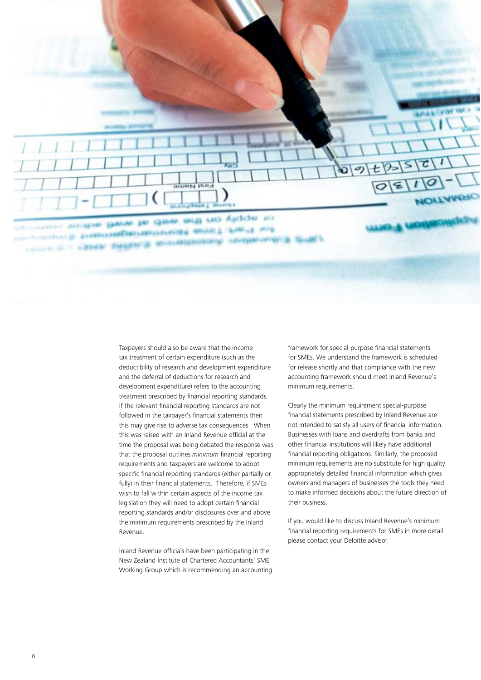OF ADDING the three week with wire and Transmitted periodicity and any in the country and cannot insight at an experienced

> Taxpayers should also be aware that the income tax treatment of certain expenditure (such as the deductibility of research and development expenditure and the deferral of deductions for research and development expenditure) refers to the accounting treatment prescribed by financial reporting standards. If the relevant financial reporting standards are not followed in the taxpayer's financial statements then this may give rise to adverse tax consequences. When this was raised with an Inland Revenue official at the time the proposal was being debated the response was that the proposal outlines *minimum* financial reporting requirements and taxpayers are welcome to adopt specific financial reporting standards (either partially or fully) in their financial statements. Therefore, if SMEs wish to fall within certain aspects of the income tax legislation they will need to adopt certain financial reporting standards and/or disclosures over and above the minimum requirements prescribed by the Inland Revenue.

> Inland Revenue officials have been participating in the New Zealand Institute of Chartered Accountants' SME Working Group which is recommending an accounting

framework for special-purpose financial statements for SMEs. We understand the framework is scheduled for release shortly and that compliance with the new accounting framework should meet Inland Revenue's minimum requirements.

ច の

Clearly the minimum requirement special-purpose financial statements prescribed by Inland Revenue are not intended to satisfy all users of financial information. Businesses with loans and overdrafts from banks and other financial institutions will likely have additional financial reporting obligations. Similarly, the proposed minimum requirements are no substitute for high quality appropriately detailed financial information which gives owners and managers of businesses the tools they need to make informed decisions about the future direction of their business.

If you would like to discuss Inland Revenue's minimum financial reporting requirements for SMEs in more detail please contact your Deloitte advisor.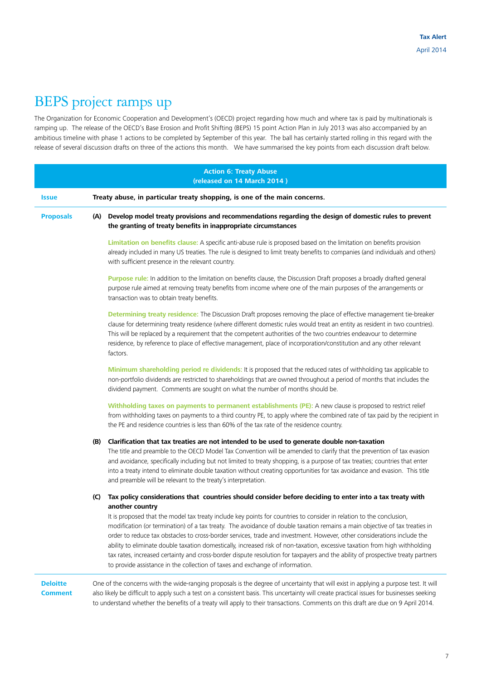# BEPS project ramps up

The Organization for Economic Cooperation and Development's (OECD) project regarding how much and where tax is paid by multinationals is ramping up. The release of the OECD's Base Erosion and Profit Shifting (BEPS) 15 point Action Plan in July 2013 was also accompanied by an ambitious timeline with phase 1 actions to be completed by September of this year. The ball has certainly started rolling in this regard with the release of several discussion drafts on three of the actions this month. We have summarised the key points from each discussion draft below.

| <b>Action 6: Treaty Abuse</b><br>(released on 14 March 2014) |     |                                                                                                                                                                                                                                                                                                                                                                                                                                                                                                                                                                                                                                                                                                                                                                                                                                                                  |  |  |
|--------------------------------------------------------------|-----|------------------------------------------------------------------------------------------------------------------------------------------------------------------------------------------------------------------------------------------------------------------------------------------------------------------------------------------------------------------------------------------------------------------------------------------------------------------------------------------------------------------------------------------------------------------------------------------------------------------------------------------------------------------------------------------------------------------------------------------------------------------------------------------------------------------------------------------------------------------|--|--|
| <b>Issue</b>                                                 |     | Treaty abuse, in particular treaty shopping, is one of the main concerns.                                                                                                                                                                                                                                                                                                                                                                                                                                                                                                                                                                                                                                                                                                                                                                                        |  |  |
| <b>Proposals</b>                                             |     | (A) Develop model treaty provisions and recommendations regarding the design of domestic rules to prevent<br>the granting of treaty benefits in inappropriate circumstances                                                                                                                                                                                                                                                                                                                                                                                                                                                                                                                                                                                                                                                                                      |  |  |
|                                                              |     | Limitation on benefits clause: A specific anti-abuse rule is proposed based on the limitation on benefits provision<br>already included in many US treaties. The rule is designed to limit treaty benefits to companies (and individuals and others)<br>with sufficient presence in the relevant country.                                                                                                                                                                                                                                                                                                                                                                                                                                                                                                                                                        |  |  |
|                                                              |     | Purpose rule: In addition to the limitation on benefits clause, the Discussion Draft proposes a broadly drafted general<br>purpose rule aimed at removing treaty benefits from income where one of the main purposes of the arrangements or<br>transaction was to obtain treaty benefits.                                                                                                                                                                                                                                                                                                                                                                                                                                                                                                                                                                        |  |  |
|                                                              |     | Determining treaty residence: The Discussion Draft proposes removing the place of effective management tie-breaker<br>clause for determining treaty residence (where different domestic rules would treat an entity as resident in two countries).<br>This will be replaced by a requirement that the competent authorities of the two countries endeavour to determine<br>residence, by reference to place of effective management, place of incorporation/constitution and any other relevant<br>factors.                                                                                                                                                                                                                                                                                                                                                      |  |  |
|                                                              |     | Minimum shareholding period re dividends: It is proposed that the reduced rates of withholding tax applicable to<br>non-portfolio dividends are restricted to shareholdings that are owned throughout a period of months that includes the<br>dividend payment. Comments are sought on what the number of months should be.                                                                                                                                                                                                                                                                                                                                                                                                                                                                                                                                      |  |  |
|                                                              |     | Withholding taxes on payments to permanent establishments (PE): A new clause is proposed to restrict relief<br>from withholding taxes on payments to a third country PE, to apply where the combined rate of tax paid by the recipient in<br>the PE and residence countries is less than 60% of the tax rate of the residence country.                                                                                                                                                                                                                                                                                                                                                                                                                                                                                                                           |  |  |
|                                                              |     | (B) Clarification that tax treaties are not intended to be used to generate double non-taxation<br>The title and preamble to the OECD Model Tax Convention will be amended to clarify that the prevention of tax evasion<br>and avoidance, specifically including but not limited to treaty shopping, is a purpose of tax treaties; countries that enter<br>into a treaty intend to eliminate double taxation without creating opportunities for tax avoidance and evasion. This title<br>and preamble will be relevant to the treaty's interpretation.                                                                                                                                                                                                                                                                                                          |  |  |
|                                                              | (C) | Tax policy considerations that countries should consider before deciding to enter into a tax treaty with<br>another country<br>It is proposed that the model tax treaty include key points for countries to consider in relation to the conclusion,<br>modification (or termination) of a tax treaty. The avoidance of double taxation remains a main objective of tax treaties in<br>order to reduce tax obstacles to cross-border services, trade and investment. However, other considerations include the<br>ability to eliminate double taxation domestically, increased risk of non-taxation, excessive taxation from high withholding<br>tax rates, increased certainty and cross-border dispute resolution for taxpayers and the ability of prospective treaty partners<br>to provide assistance in the collection of taxes and exchange of information. |  |  |
| <b>Deloitte</b><br><b>Comment</b>                            |     | One of the concerns with the wide-ranging proposals is the degree of uncertainty that will exist in applying a purpose test. It will<br>also likely be difficult to apply such a test on a consistent basis. This uncertainty will create practical issues for businesses seeking<br>to understand whether the benefits of a treaty will apply to their transactions. Comments on this draft are due on 9 April 2014.                                                                                                                                                                                                                                                                                                                                                                                                                                            |  |  |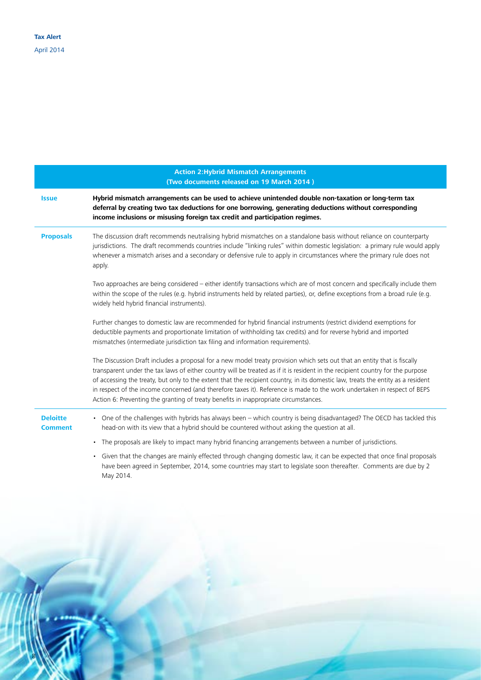|                                   | <b>Action 2: Hybrid Mismatch Arrangements</b><br>(Two documents released on 19 March 2014)                                                                                                                                                                                                                                                                                                                                                                                                                                                                                                                         |
|-----------------------------------|--------------------------------------------------------------------------------------------------------------------------------------------------------------------------------------------------------------------------------------------------------------------------------------------------------------------------------------------------------------------------------------------------------------------------------------------------------------------------------------------------------------------------------------------------------------------------------------------------------------------|
| <b>Issue</b>                      | Hybrid mismatch arrangements can be used to achieve unintended double non-taxation or long-term tax<br>deferral by creating two tax deductions for one borrowing, generating deductions without corresponding<br>income inclusions or misusing foreign tax credit and participation regimes.                                                                                                                                                                                                                                                                                                                       |
| <b>Proposals</b>                  | The discussion draft recommends neutralising hybrid mismatches on a standalone basis without reliance on counterparty<br>jurisdictions. The draft recommends countries include "linking rules" within domestic legislation: a primary rule would apply<br>whenever a mismatch arises and a secondary or defensive rule to apply in circumstances where the primary rule does not<br>apply.                                                                                                                                                                                                                         |
|                                   | Two approaches are being considered - either identify transactions which are of most concern and specifically include them<br>within the scope of the rules (e.g. hybrid instruments held by related parties), or, define exceptions from a broad rule (e.g.<br>widely held hybrid financial instruments).                                                                                                                                                                                                                                                                                                         |
|                                   | Further changes to domestic law are recommended for hybrid financial instruments (restrict dividend exemptions for<br>deductible payments and proportionate limitation of withholding tax credits) and for reverse hybrid and imported<br>mismatches (intermediate jurisdiction tax filing and information requirements).                                                                                                                                                                                                                                                                                          |
|                                   | The Discussion Draft includes a proposal for a new model treaty provision which sets out that an entity that is fiscally<br>transparent under the tax laws of either country will be treated as if it is resident in the recipient country for the purpose<br>of accessing the treaty, but only to the extent that the recipient country, in its domestic law, treats the entity as a resident<br>in respect of the income concerned (and therefore taxes it). Reference is made to the work undertaken in respect of BEPS<br>Action 6: Preventing the granting of treaty benefits in inappropriate circumstances. |
| <b>Deloitte</b><br><b>Comment</b> | • One of the challenges with hybrids has always been - which country is being disadvantaged? The OECD has tackled this<br>head-on with its view that a hybrid should be countered without asking the question at all.                                                                                                                                                                                                                                                                                                                                                                                              |
|                                   | • The proposals are likely to impact many hybrid financing arrangements between a number of jurisdictions.<br>• Given that the changes are mainly effected through changing domestic law, it can be expected that once final proposals<br>have been agreed in September, 2014, some countries may start to legislate soon thereafter. Comments are due by 2<br>May 2014.                                                                                                                                                                                                                                           |

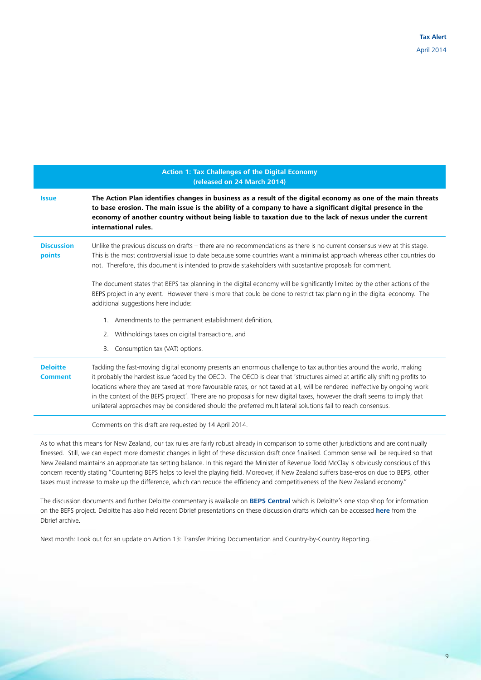|                                   | <b>Action 1: Tax Challenges of the Digital Economy</b><br>(released on 24 March 2014)                                                                                                                                                                                                                                                                                                                                                                                                                                                                                                                                          |
|-----------------------------------|--------------------------------------------------------------------------------------------------------------------------------------------------------------------------------------------------------------------------------------------------------------------------------------------------------------------------------------------------------------------------------------------------------------------------------------------------------------------------------------------------------------------------------------------------------------------------------------------------------------------------------|
| <b>Issue</b>                      | The Action Plan identifies changes in business as a result of the digital economy as one of the main threats<br>to base erosion. The main issue is the ability of a company to have a significant digital presence in the<br>economy of another country without being liable to taxation due to the lack of nexus under the current<br>international rules.                                                                                                                                                                                                                                                                    |
| <b>Discussion</b><br>points       | Unlike the previous discussion drafts - there are no recommendations as there is no current consensus view at this stage.<br>This is the most controversial issue to date because some countries want a minimalist approach whereas other countries do<br>not. Therefore, this document is intended to provide stakeholders with substantive proposals for comment.                                                                                                                                                                                                                                                            |
|                                   | The document states that BEPS tax planning in the digital economy will be significantly limited by the other actions of the<br>BEPS project in any event. However there is more that could be done to restrict tax planning in the digital economy. The<br>additional suggestions here include:                                                                                                                                                                                                                                                                                                                                |
|                                   | 1. Amendments to the permanent establishment definition,                                                                                                                                                                                                                                                                                                                                                                                                                                                                                                                                                                       |
|                                   | 2. Withholdings taxes on digital transactions, and                                                                                                                                                                                                                                                                                                                                                                                                                                                                                                                                                                             |
|                                   | Consumption tax (VAT) options.<br>3.                                                                                                                                                                                                                                                                                                                                                                                                                                                                                                                                                                                           |
| <b>Deloitte</b><br><b>Comment</b> | Tackling the fast-moving digital economy presents an enormous challenge to tax authorities around the world, making<br>it probably the hardest issue faced by the OECD. The OECD is clear that 'structures aimed at artificially shifting profits to<br>locations where they are taxed at more favourable rates, or not taxed at all, will be rendered ineffective by ongoing work<br>in the context of the BEPS project'. There are no proposals for new digital taxes, however the draft seems to imply that<br>unilateral approaches may be considered should the preferred multilateral solutions fail to reach consensus. |
|                                   | Comments on this draft are requested by 14 April 2014.                                                                                                                                                                                                                                                                                                                                                                                                                                                                                                                                                                         |

As to what this means for New Zealand, our tax rules are fairly robust already in comparison to some other jurisdictions and are continually finessed. Still, we can expect more domestic changes in light of these discussion draft once finalised. Common sense will be required so that New Zealand maintains an appropriate tax setting balance. In this regard the Minister of Revenue Todd McClay is obviously conscious of this concern recently stating "Countering BEPS helps to level the playing field. Moreover, if New Zealand suffers base-erosion due to BEPS, other taxes must increase to make up the difference, which can reduce the efficiency and competitiveness of the New Zealand economy."

The discussion documents and further Deloitte commentary is available on **[BEPS Central](https://www.deloitte.com/view/en_SG/sg/aa57099fa0b14410VgnVCM2000003356f70aRCRD.htm)** which is Deloitte's one stop shop for information on the BEPS project. Deloitte has also held recent Dbrief presentations on these discussion drafts which can be accessed **[here](http://www.deloitte.com/view/en_SG/sg/services/tax/1ad3d0613e902410VgnVCM1000003256f70aRCRD.htm)** from the Dbrief archive.

Next month: Look out for an update on Action 13: Transfer Pricing Documentation and Country-by-Country Reporting.